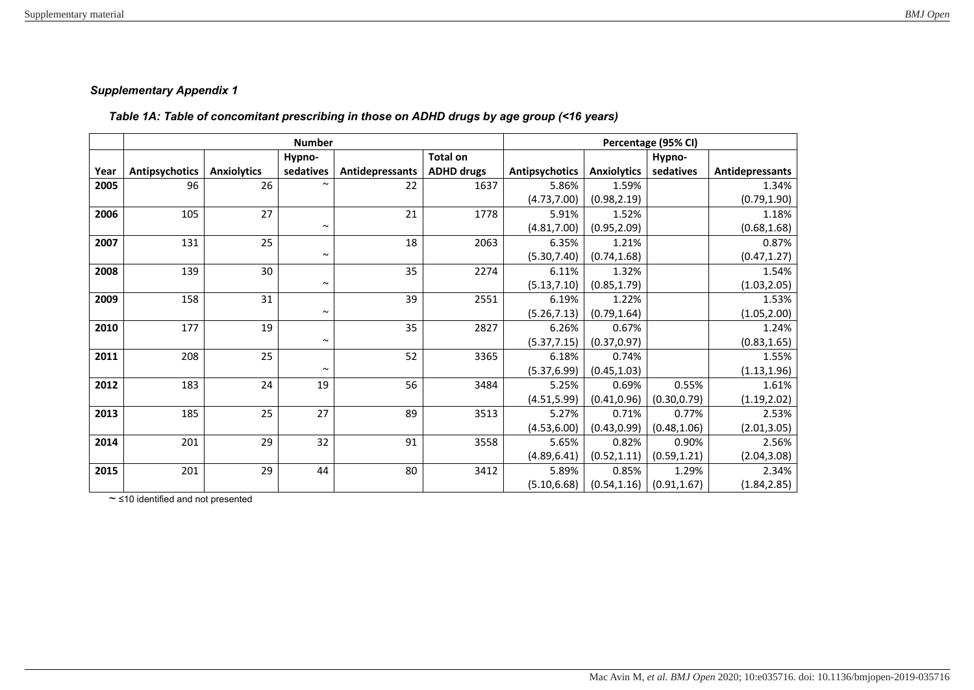## *Supplementary Appendix 1*

## *Table 1A: Table of concomitant prescribing in those on ADHD drugs by age group (<16 years)*

|      |                | <b>Number</b>      | Percentage (95% CI) |                 |                   |                |                    |              |                 |
|------|----------------|--------------------|---------------------|-----------------|-------------------|----------------|--------------------|--------------|-----------------|
|      |                |                    | Hypno-              |                 | <b>Total on</b>   |                |                    | Hypno-       |                 |
| Year | Antipsychotics | <b>Anxiolytics</b> | sedatives           | Antidepressants | <b>ADHD drugs</b> | Antipsychotics | <b>Anxiolytics</b> | sedatives    | Antidepressants |
| 2005 | 96             | 26                 |                     | 22              | 1637              | 5.86%          | 1.59%              |              | 1.34%           |
|      |                |                    |                     |                 |                   | (4.73, 7.00)   | (0.98, 2.19)       |              | (0.79, 1.90)    |
| 2006 | 105            | 27                 |                     | 21              | 1778              | 5.91%          | 1.52%              |              | 1.18%           |
|      |                |                    | $\sim$              |                 |                   | (4.81, 7.00)   | (0.95, 2.09)       |              | (0.68, 1.68)    |
| 2007 | 131            | 25                 |                     | 18              | 2063              | 6.35%          | 1.21%              |              | 0.87%           |
|      |                |                    | $\sim$              |                 |                   | (5.30, 7.40)   | (0.74, 1.68)       |              | (0.47, 1.27)    |
| 2008 | 139            | 30                 |                     | 35              | 2274              | 6.11%          | 1.32%              |              | 1.54%           |
|      |                |                    | $\sim$              |                 |                   | (5.13, 7.10)   | (0.85, 1.79)       |              | (1.03, 2.05)    |
| 2009 | 158            | 31                 |                     | 39              | 2551              | 6.19%          | 1.22%              |              | 1.53%           |
|      |                |                    | $\sim$              |                 |                   | (5.26, 7.13)   | (0.79, 1.64)       |              | (1.05, 2.00)    |
| 2010 | 177            | 19                 |                     | 35              | 2827              | 6.26%          | 0.67%              |              | 1.24%           |
|      |                |                    | $\sim$              |                 |                   | (5.37, 7.15)   | (0.37, 0.97)       |              | (0.83, 1.65)    |
| 2011 | 208            | 25                 |                     | 52              | 3365              | 6.18%          | 0.74%              |              | 1.55%           |
|      |                |                    | $\sim$              |                 |                   | (5.37, 6.99)   | (0.45, 1.03)       |              | (1.13, 1.96)    |
| 2012 | 183            | 24                 | 19                  | 56              | 3484              | 5.25%          | 0.69%              | 0.55%        | 1.61%           |
|      |                |                    |                     |                 |                   | (4.51, 5.99)   | (0.41, 0.96)       | (0.30, 0.79) | (1.19, 2.02)    |
| 2013 | 185            | 25                 | 27                  | 89              | 3513              | 5.27%          | 0.71%              | 0.77%        | 2.53%           |
|      |                |                    |                     |                 |                   | (4.53, 6.00)   | (0.43, 0.99)       | (0.48, 1.06) | (2.01, 3.05)    |
| 2014 | 201            | 29                 | 32                  | 91              | 3558              | 5.65%          | 0.82%              | 0.90%        | 2.56%           |
|      |                |                    |                     |                 |                   | (4.89, 6.41)   | (0.52, 1.11)       | (0.59, 1.21) | (2.04, 3.08)    |
| 2015 | 201            | 29                 | 44                  | 80              | 3412              | 5.89%          | 0.85%              | 1.29%        | 2.34%           |
|      |                |                    |                     |                 |                   | (5.10, 6.68)   | (0.54, 1.16)       | (0.91, 1.67) | (1.84, 2.85)    |

*~* ≤10 identified and not presented